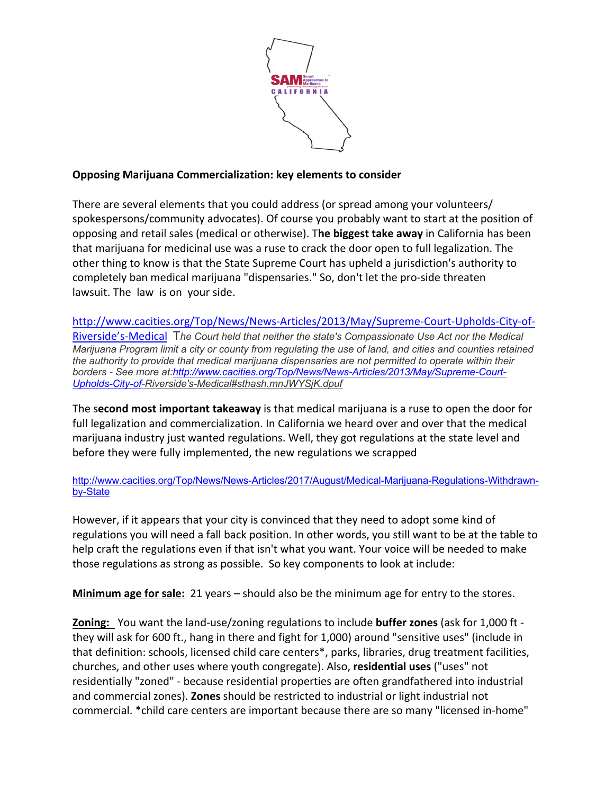

## **Opposing Marijuana Commercialization: key elements to consider**

There are several elements that you could address (or spread among your volunteers/ spokespersons/community advocates). Of course you probably want to start at the position of opposing and retail sales (medical or otherwise). T**he biggest take away** in California has been that marijuana for medicinal use was a ruse to crack the door open to full legalization. The other thing to know is that the State Supreme Court has upheld a jurisdiction's authority to completely ban medical marijuana "dispensaries." So, don't let the pro-side threaten lawsuit. The law is on your side.

http://www.cacities.org/Top/News/News-Articles/2013/May/Supreme-Court-Upholds-City-of-Riverside's-Medical T*he Court held that neither the state's Compassionate Use Act nor the Medical Marijuana Program limit a city or county from regulating the use of land, and cities and counties retained the authority to provide that medical marijuana dispensaries are not permitted to operate within their borders - See more at:http://www.cacities.org/Top/News/News-Articles/2013/May/Supreme-Court-Upholds-City-of-Riverside's-Medical#sthash.mnJWYSjK.dpuf*

The s**econd most important takeaway** is that medical marijuana is a ruse to open the door for full legalization and commercialization. In California we heard over and over that the medical marijuana industry just wanted regulations. Well, they got regulations at the state level and before they were fully implemented, the new regulations we scrapped

http://www.cacities.org/Top/News/News-Articles/2017/August/Medical-Marijuana-Regulations-Withdrawnby-State

However, if it appears that your city is convinced that they need to adopt some kind of regulations you will need a fall back position. In other words, you still want to be at the table to help craft the regulations even if that isn't what you want. Your voice will be needed to make those regulations as strong as possible. So key components to look at include:

**Minimum age for sale:** 21 years – should also be the minimum age for entry to the stores.

**Zoning:** You want the land-use/zoning regulations to include **buffer zones** (ask for 1,000 ft they will ask for 600 ft., hang in there and fight for 1,000) around "sensitive uses" (include in that definition: schools, licensed child care centers\*, parks, libraries, drug treatment facilities, churches, and other uses where youth congregate). Also, **residential uses** ("uses" not residentially "zoned" - because residential properties are often grandfathered into industrial and commercial zones). **Zones** should be restricted to industrial or light industrial not commercial. \*child care centers are important because there are so many "licensed in-home"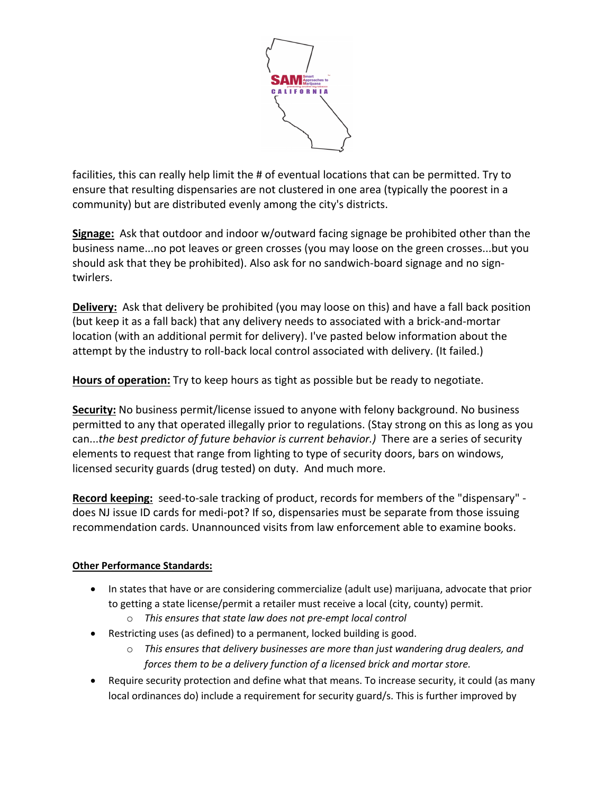

facilities, this can really help limit the # of eventual locations that can be permitted. Try to ensure that resulting dispensaries are not clustered in one area (typically the poorest in a community) but are distributed evenly among the city's districts.

**Signage:** Ask that outdoor and indoor w/outward facing signage be prohibited other than the business name...no pot leaves or green crosses (you may loose on the green crosses...but you should ask that they be prohibited). Also ask for no sandwich-board signage and no signtwirlers.

**Delivery:** Ask that delivery be prohibited (you may loose on this) and have a fall back position (but keep it as a fall back) that any delivery needs to associated with a brick-and-mortar location (with an additional permit for delivery). I've pasted below information about the attempt by the industry to roll-back local control associated with delivery. (It failed.)

**Hours of operation:** Try to keep hours as tight as possible but be ready to negotiate.

**Security:** No business permit/license issued to anyone with felony background. No business permitted to any that operated illegally prior to regulations. (Stay strong on this as long as you can...*the best predictor of future behavior is current behavior.)* There are a series of security elements to request that range from lighting to type of security doors, bars on windows, licensed security guards (drug tested) on duty. And much more.

**Record keeping:** seed-to-sale tracking of product, records for members of the "dispensary" does NJ issue ID cards for medi-pot? If so, dispensaries must be separate from those issuing recommendation cards. Unannounced visits from law enforcement able to examine books.

## **Other Performance Standards:**

- In states that have or are considering commercialize (adult use) marijuana, advocate that prior to getting a state license/permit a retailer must receive a local (city, county) permit.
	- o *This ensures that state law does not pre-empt local control*
- Restricting uses (as defined) to a permanent, locked building is good.
	- o *This ensures that delivery businesses are more than just wandering drug dealers, and forces them to be a delivery function of a licensed brick and mortar store.*
- Require security protection and define what that means. To increase security, it could (as many local ordinances do) include a requirement for security guard/s. This is further improved by